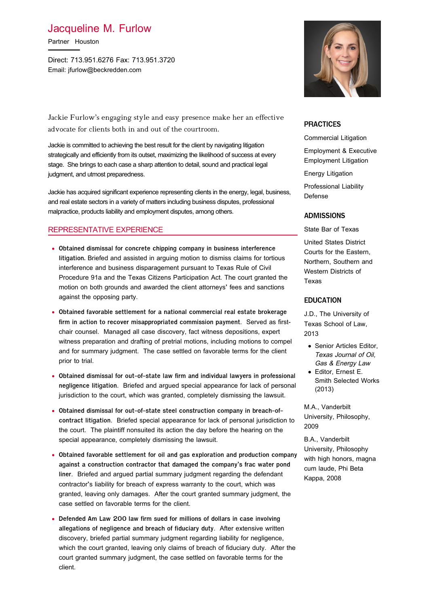# Jacqueline M. Furlow

Partner Houston

Direct: 713.951.6276 Fax: 713.951.3720 Email: jfurlow@beckredden.com

Jackie Furlow's engaging style and easy presence make her an effective advocate for clients both in and out of the courtroom.

Jackie is committed to achieving the best result for the client by navigating litigation strategically and efficiently from its outset, maximizing the likelihood of success at every stage. She brings to each case a sharp attention to detail, sound and practical legal judgment, and utmost preparedness.

Jackie has acquired significant experience representing clients in the energy, legal, business, and real estate sectors in a variety of matters including business disputes, professional malpractice, products liability and employment disputes, among others.

# REPRESENTATIVE EXPERIENCE

- **Obtained dismissal for concrete chipping company in business interference litigation.** Briefed and assisted in arguing motion to dismiss claims for tortious interference and business disparagement pursuant to Texas Rule of Civil Procedure 91a and the Texas Citizens Participation Act. The court granted the motion on both grounds and awarded the client attorneys' fees and sanctions against the opposing party.
- **Obtained favorable settlement for a national commercial real estate brokerage firm in action to recover misappropriated commission payment**. Served as firstchair counsel. Managed all case discovery, fact witness depositions, expert witness preparation and drafting of pretrial motions, including motions to compel and for summary judgment. The case settled on favorable terms for the client prior to trial.
- **Obtained dismissal for out-of-state law firm and individual lawyers in professional negligence litigation**. Briefed and argued special appearance for lack of personal jurisdiction to the court, which was granted, completely dismissing the lawsuit.
- **Obtained dismissal for out-of-state steel construction company in breach-ofcontract litigation**. Briefed special appearance for lack of personal jurisdiction to the court. The plaintiff nonsuited its action the day before the hearing on the special appearance, completely dismissing the lawsuit.
- **Obtained favorable settlement for oil and gas exploration and production company against a construction contractor that damaged the company's frac water pond liner**. Briefed and argued partial summary judgment regarding the defendant contractor's liability for breach of express warranty to the court, which was granted, leaving only damages. After the court granted summary judgment, the case settled on favorable terms for the client.
- **Defended Am Law 200 law firm sued for millions of dollars in case involving allegations of negligence and breach of fiduciary duty**. After extensive written discovery, briefed partial summary judgment regarding liability for negligence, which the court granted, leaving only claims of breach of fiduciary duty. After the court granted summary judgment, the case settled on favorable terms for the client.



# **PRACTICES**

Commercial Litigation

Employment & Executive Employment Litigation

Energy Litigation

Professional Liability Defense

#### **ADMISSIONS**

State Bar of Texas

United States District Courts for the Eastern, Northern, Southern and Western Districts of Texas

#### **EDUCATION**

J.D., The University of Texas School of Law, 2013

- **Senior Articles Editor** Texas Journal of Oil, Gas & Energy Law
- Editor, Ernest E. Smith Selected Works (2013)

M.A., Vanderbilt University, Philosophy, 2009

B.A., Vanderbilt University, Philosophy with high honors, magna cum laude, Phi Beta Kappa, 2008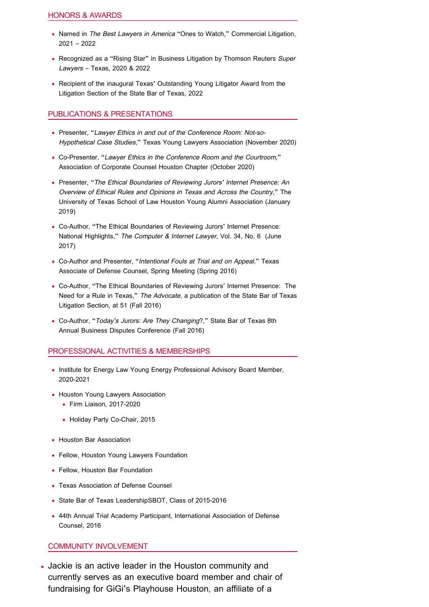- Named in The Best Lawyers in America "Ones to Watch," Commercial Litigation, 2021 – 2022
- Recognized as a "Rising Star" in Business Litigation by Thomson Reuters Super Lawyers – Texas, 2020 & 2022
- Recipient of the inaugural Texas' Outstanding Young Litigator Award from the Litigation Section of the State Bar of Texas, 2022

# PUBLICATIONS & PRESENTATIONS

- Presenter, "Lawyer Ethics in and out of the Conference Room: Not-so-Hypothetical Case Studies," Texas Young Lawyers Association (November 2020)
- Co-Presenter, "Lawyer Ethics in the Conference Room and the Courtroom," Association of Corporate Counsel Houston Chapter (October 2020)
- Presenter, "The Ethical Boundaries of Reviewing Jurors' Internet Presence: An Overview of Ethical Rules and Opinions in Texas and Across the Country," The University of Texas School of Law Houston Young Alumni Association (January 2019)
- Co-Author, "The Ethical Boundaries of Reviewing Jurors' Internet Presence: National Highlights," The Computer & Internet Lawyer, Vol. 34, No. 6 (June 2017)
- Co-Author and Presenter, "Intentional Fouls at Trial and on Appeal," Texas Associate of Defense Counsel, Spring Meeting (Spring 2016)
- Co-Author, "The Ethical Boundaries of Reviewing Jurors' Internet Presence: The Need for a Rule in Texas," The Advocate, a publication of the State Bar of Texas Litigation Section, at 51 (Fall 2016)
- Co-Author, "Today's Jurors: Are They Changing?," State Bar of Texas 8th Annual Business Disputes Conference (Fall 2016)

## PROFESSIONAL ACTIVITIES & MEMBERSHIPS

- Institute for Energy Law Young Energy Professional Advisory Board Member, 2020-2021
- Houston Young Lawyers Association
	- Firm Liaison, 2017-2020
	- Holiday Party Co-Chair, 2015
- Houston Bar Association
- Fellow, Houston Young Lawyers Foundation
- Fellow, Houston Bar Foundation
- Texas Association of Defense Counsel
- State Bar of Texas LeadershipSBOT, Class of 2015-2016
- 44th Annual Trial Academy Participant, International Association of Defense Counsel, 2016

## COMMUNITY INVOLVEMENT

• Jackie is an active leader in the Houston community and currently serves as an executive board member and chair of fundraising for GiGi's Playhouse Houston, an affiliate of a